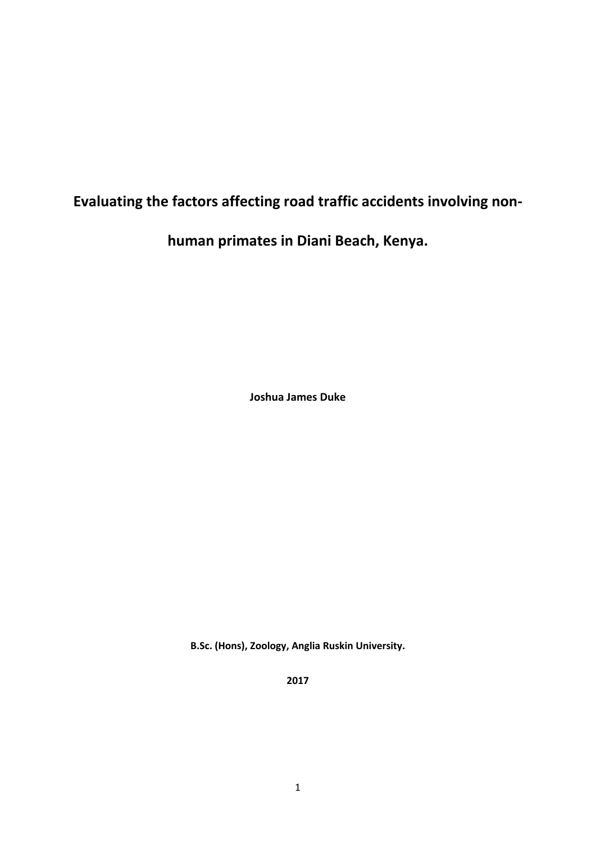# **Evaluating the factors affecting road traffic accidents involving non‐**

**human primates in Diani Beach, Kenya.** 

**Joshua James Duke** 

**B.Sc. (Hons), Zoology, Anglia Ruskin University.**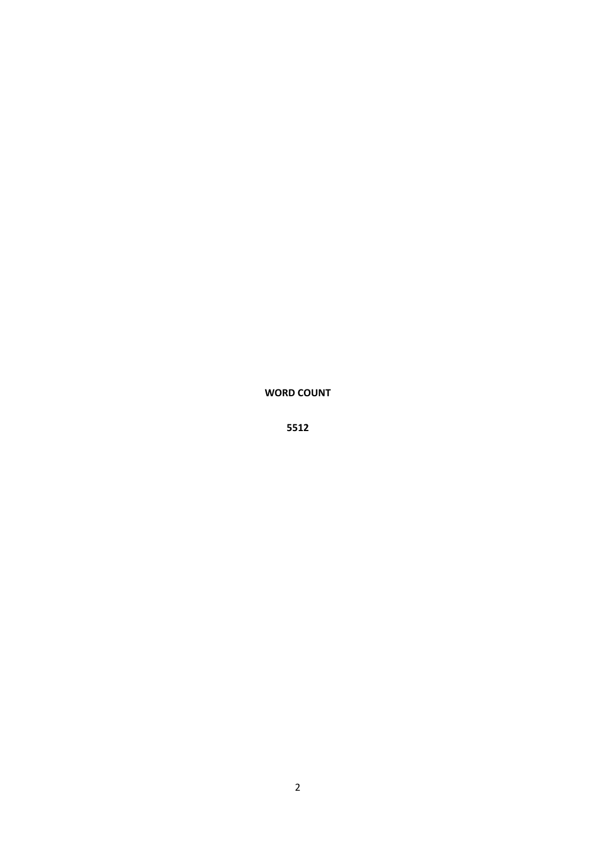**WORD COUNT**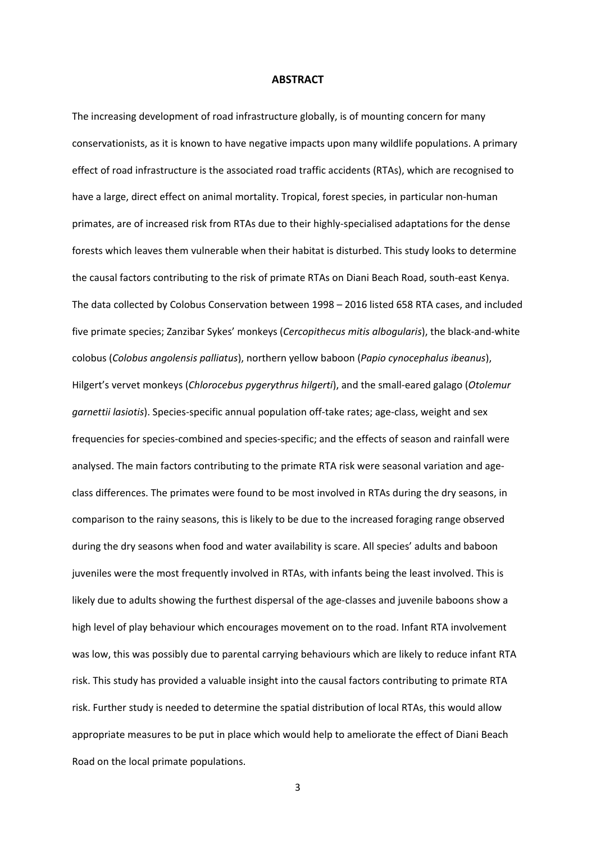#### **ABSTRACT**

The increasing development of road infrastructure globally, is of mounting concern for many conservationists, as it is known to have negative impacts upon many wildlife populations. A primary effect of road infrastructure is the associated road traffic accidents (RTAs), which are recognised to have a large, direct effect on animal mortality. Tropical, forest species, in particular non-human primates, are of increased risk from RTAs due to their highly‐specialised adaptations for the dense forests which leaves them vulnerable when their habitat is disturbed. This study looks to determine the causal factors contributing to the risk of primate RTAs on Diani Beach Road, south‐east Kenya. The data collected by Colobus Conservation between 1998 – 2016 listed 658 RTA cases, and included five primate species; Zanzibar Sykes' monkeys (*Cercopithecus mitis albogularis*), the black‐and‐white colobus (*Colobus angolensis palliatus*), northern yellow baboon (*Papio cynocephalus ibeanus*), Hilgert's vervet monkeys (*Chlorocebus pygerythrus hilgerti*), and the small‐eared galago (*Otolemur garnettii lasiotis*). Species‐specific annual population off‐take rates; age‐class, weight and sex frequencies for species‐combined and species‐specific; and the effects of season and rainfall were analysed. The main factors contributing to the primate RTA risk were seasonal variation and ageclass differences. The primates were found to be most involved in RTAs during the dry seasons, in comparison to the rainy seasons, this is likely to be due to the increased foraging range observed during the dry seasons when food and water availability is scare. All species' adults and baboon juveniles were the most frequently involved in RTAs, with infants being the least involved. This is likely due to adults showing the furthest dispersal of the age-classes and juvenile baboons show a high level of play behaviour which encourages movement on to the road. Infant RTA involvement was low, this was possibly due to parental carrying behaviours which are likely to reduce infant RTA risk. This study has provided a valuable insight into the causal factors contributing to primate RTA risk. Further study is needed to determine the spatial distribution of local RTAs, this would allow appropriate measures to be put in place which would help to ameliorate the effect of Diani Beach Road on the local primate populations.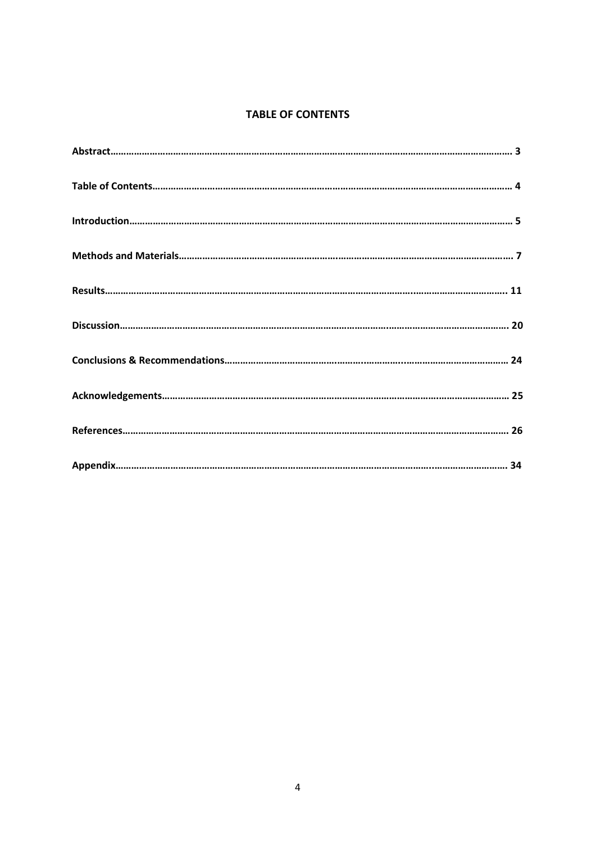## **TABLE OF CONTENTS**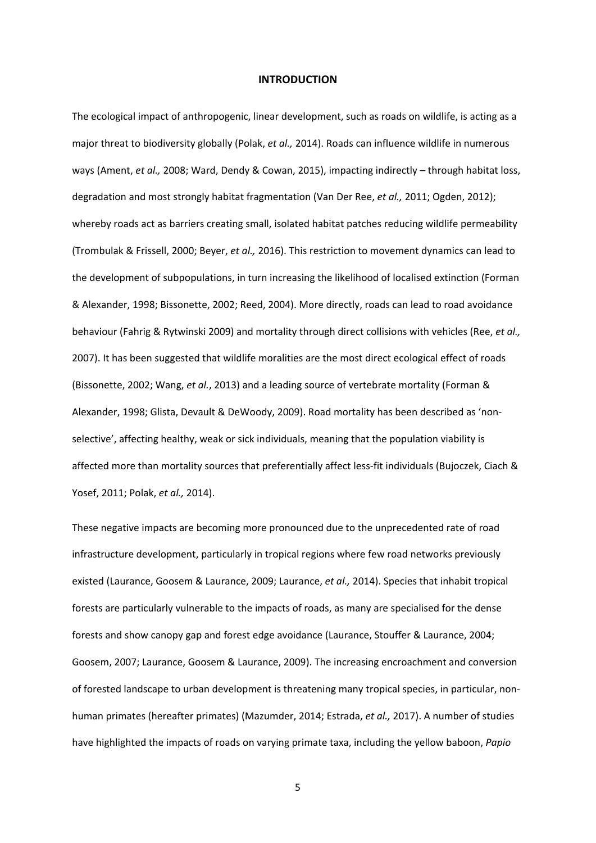#### **INTRODUCTION**

The ecological impact of anthropogenic, linear development, such as roads on wildlife, is acting as a major threat to biodiversity globally (Polak, *et al.,* 2014). Roads can influence wildlife in numerous ways (Ament, *et al.*, 2008; Ward, Dendy & Cowan, 2015), impacting indirectly – through habitat loss, degradation and most strongly habitat fragmentation (Van Der Ree, *et al.,* 2011; Ogden, 2012); whereby roads act as barriers creating small, isolated habitat patches reducing wildlife permeability (Trombulak & Frissell, 2000; Beyer, *et al.,* 2016). This restriction to movement dynamics can lead to the development of subpopulations, in turn increasing the likelihood of localised extinction (Forman & Alexander, 1998; Bissonette, 2002; Reed, 2004). More directly, roads can lead to road avoidance behaviour (Fahrig & Rytwinski 2009) and mortality through direct collisions with vehicles (Ree, *et al.,*  2007). It has been suggested that wildlife moralities are the most direct ecological effect of roads (Bissonette, 2002; Wang, *et al.*, 2013) and a leading source of vertebrate mortality (Forman & Alexander, 1998; Glista, Devault & DeWoody, 2009). Road mortality has been described as 'non‐ selective', affecting healthy, weak or sick individuals, meaning that the population viability is affected more than mortality sources that preferentially affect less‐fit individuals (Bujoczek, Ciach & Yosef, 2011; Polak, *et al.,* 2014).

These negative impacts are becoming more pronounced due to the unprecedented rate of road infrastructure development, particularly in tropical regions where few road networks previously existed (Laurance, Goosem & Laurance, 2009; Laurance, *et al.,* 2014). Species that inhabit tropical forests are particularly vulnerable to the impacts of roads, as many are specialised for the dense forests and show canopy gap and forest edge avoidance (Laurance, Stouffer & Laurance, 2004; Goosem, 2007; Laurance, Goosem & Laurance, 2009). The increasing encroachment and conversion of forested landscape to urban development is threatening many tropical species, in particular, non‐ human primates (hereafter primates) (Mazumder, 2014; Estrada, *et al.,* 2017). A number of studies have highlighted the impacts of roads on varying primate taxa, including the yellow baboon, *Papio*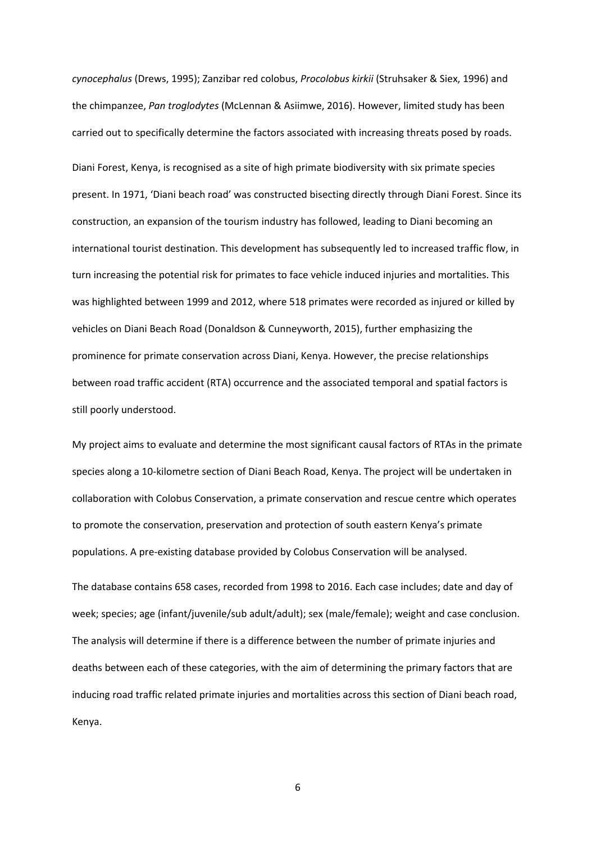*cynocephalus* (Drews, 1995); Zanzibar red colobus, *Procolobus kirkii* (Struhsaker & Siex, 1996) and the chimpanzee, *Pan troglodytes* (McLennan & Asiimwe, 2016). However, limited study has been carried out to specifically determine the factors associated with increasing threats posed by roads. Diani Forest, Kenya, is recognised as a site of high primate biodiversity with six primate species present. In 1971, 'Diani beach road' was constructed bisecting directly through Diani Forest. Since its construction, an expansion of the tourism industry has followed, leading to Diani becoming an international tourist destination. This development has subsequently led to increased traffic flow, in turn increasing the potential risk for primates to face vehicle induced injuries and mortalities. This was highlighted between 1999 and 2012, where 518 primates were recorded as injured or killed by vehicles on Diani Beach Road (Donaldson & Cunneyworth, 2015), further emphasizing the prominence for primate conservation across Diani, Kenya. However, the precise relationships between road traffic accident (RTA) occurrence and the associated temporal and spatial factors is still poorly understood.

My project aims to evaluate and determine the most significant causal factors of RTAs in the primate species along a 10‐kilometre section of Diani Beach Road, Kenya. The project will be undertaken in collaboration with Colobus Conservation, a primate conservation and rescue centre which operates to promote the conservation, preservation and protection of south eastern Kenya's primate populations. A pre‐existing database provided by Colobus Conservation will be analysed.

The database contains 658 cases, recorded from 1998 to 2016. Each case includes; date and day of week; species; age (infant/juvenile/sub adult/adult); sex (male/female); weight and case conclusion. The analysis will determine if there is a difference between the number of primate injuries and deaths between each of these categories, with the aim of determining the primary factors that are inducing road traffic related primate injuries and mortalities across this section of Diani beach road, Kenya.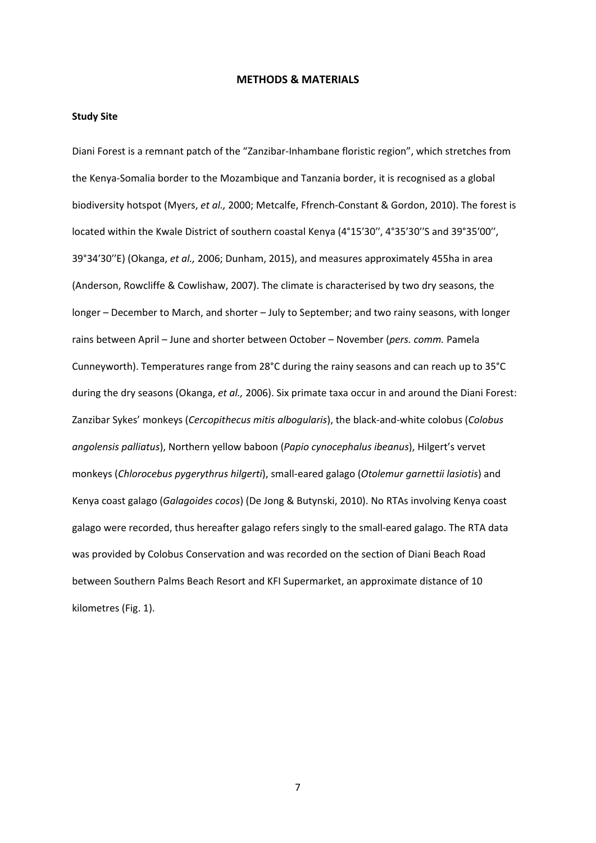## **METHODS & MATERIALS**

## **Study Site**

Diani Forest is a remnant patch of the "Zanzibar‐Inhambane floristic region", which stretches from the Kenya‐Somalia border to the Mozambique and Tanzania border, it is recognised as a global biodiversity hotspot (Myers, *et al.,* 2000; Metcalfe, Ffrench‐Constant & Gordon, 2010). The forest is located within the Kwale District of southern coastal Kenya (4°15′30′′, 4°35′30′′S and 39°35′00′′, 39°34′30′′E) (Okanga, *et al.,* 2006; Dunham, 2015), and measures approximately 455ha in area (Anderson, Rowcliffe & Cowlishaw, 2007). The climate is characterised by two dry seasons, the longer – December to March, and shorter – July to September; and two rainy seasons, with longer rains between April – June and shorter between October – November (*pers. comm.* Pamela Cunneyworth). Temperatures range from 28°C during the rainy seasons and can reach up to 35°C during the dry seasons (Okanga, *et al.,* 2006). Six primate taxa occur in and around the Diani Forest: Zanzibar Sykes' monkeys (*Cercopithecus mitis albogularis*), the black‐and‐white colobus (*Colobus angolensis palliatus*), Northern yellow baboon (*Papio cynocephalus ibeanus*), Hilgert's vervet monkeys (*Chlorocebus pygerythrus hilgerti*), small‐eared galago (*Otolemur garnettii lasiotis*) and Kenya coast galago (*Galagoides cocos*) (De Jong & Butynski, 2010). No RTAs involving Kenya coast galago were recorded, thus hereafter galago refers singly to the small‐eared galago. The RTA data was provided by Colobus Conservation and was recorded on the section of Diani Beach Road between Southern Palms Beach Resort and KFI Supermarket, an approximate distance of 10 kilometres (Fig. 1).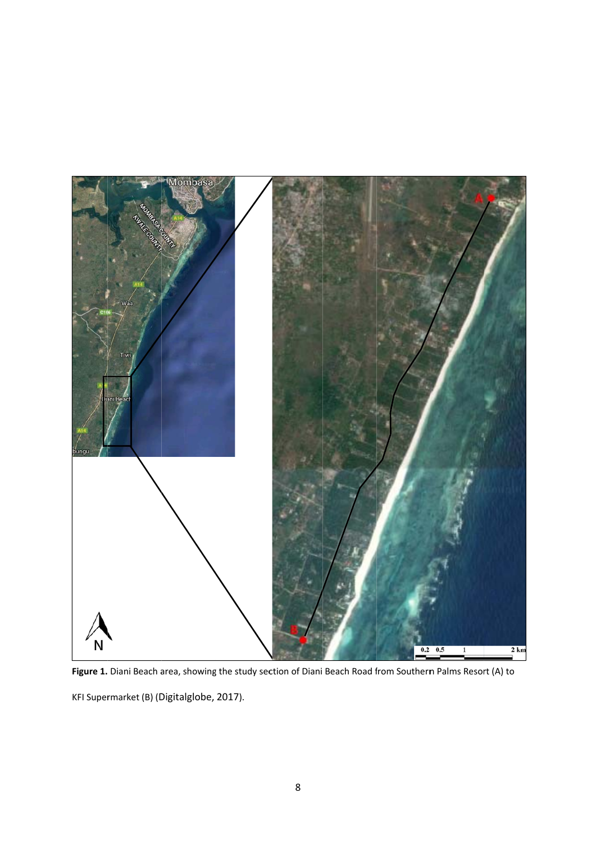

Figure 1. Diani Beach area, showing the study section of Diani Beach Road from Southern Palms Resort (A) to

KFI Supermarket (B) (Digitalglobe, 2017).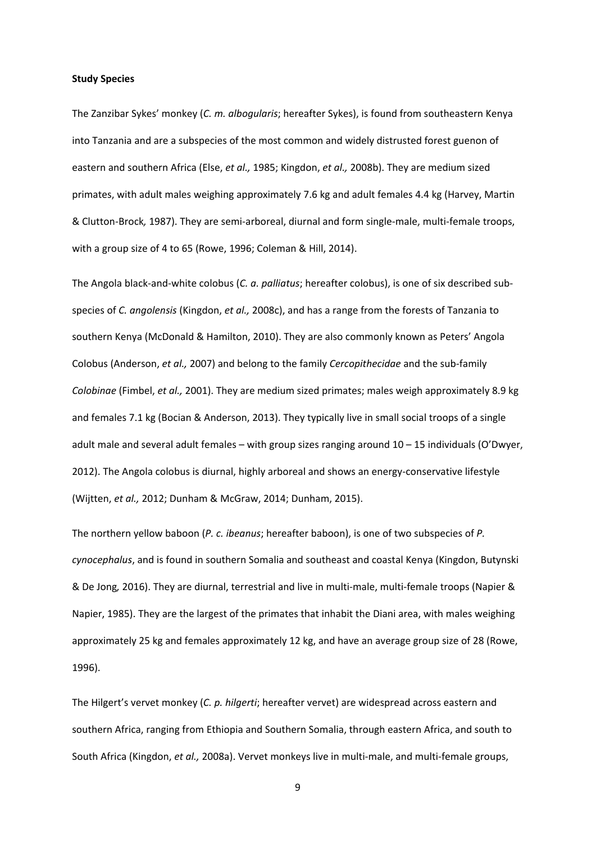#### **Study Species**

The Zanzibar Sykes' monkey (*C. m. albogularis*; hereafter Sykes), is found from southeastern Kenya into Tanzania and are a subspecies of the most common and widely distrusted forest guenon of eastern and southern Africa (Else, *et al.,* 1985; Kingdon, *et al.,* 2008b). They are medium sized primates, with adult males weighing approximately 7.6 kg and adult females 4.4 kg (Harvey, Martin & Clutton‐Brock*,* 1987). They are semi‐arboreal, diurnal and form single‐male, multi‐female troops, with a group size of 4 to 65 (Rowe, 1996; Coleman & Hill, 2014).

The Angola black‐and‐white colobus (*C. a. palliatus*; hereafter colobus), is one of six described sub‐ species of *C. angolensis* (Kingdon, *et al.,* 2008c), and has a range from the forests of Tanzania to southern Kenya (McDonald & Hamilton, 2010). They are also commonly known as Peters' Angola Colobus (Anderson, *et al.,* 2007) and belong to the family *Cercopithecidae* and the sub‐family *Colobinae* (Fimbel, *et al.,* 2001). They are medium sized primates; males weigh approximately 8.9 kg and females 7.1 kg (Bocian & Anderson, 2013). They typically live in small social troops of a single adult male and several adult females – with group sizes ranging around 10 – 15 individuals (O'Dwyer, 2012). The Angola colobus is diurnal, highly arboreal and shows an energy‐conservative lifestyle (Wijtten, *et al.,* 2012; Dunham & McGraw, 2014; Dunham, 2015).

The northern yellow baboon (*P. c. ibeanus*; hereafter baboon), is one of two subspecies of *P. cynocephalus*, and is found in southern Somalia and southeast and coastal Kenya (Kingdon, Butynski & De Jong*,* 2016). They are diurnal, terrestrial and live in multi‐male, multi‐female troops (Napier & Napier, 1985). They are the largest of the primates that inhabit the Diani area, with males weighing approximately 25 kg and females approximately 12 kg, and have an average group size of 28 (Rowe, 1996).

The Hilgert's vervet monkey (*C. p. hilgerti*; hereafter vervet) are widespread across eastern and southern Africa, ranging from Ethiopia and Southern Somalia, through eastern Africa, and south to South Africa (Kingdon, *et al.*, 2008a). Vervet monkeys live in multi-male, and multi-female groups,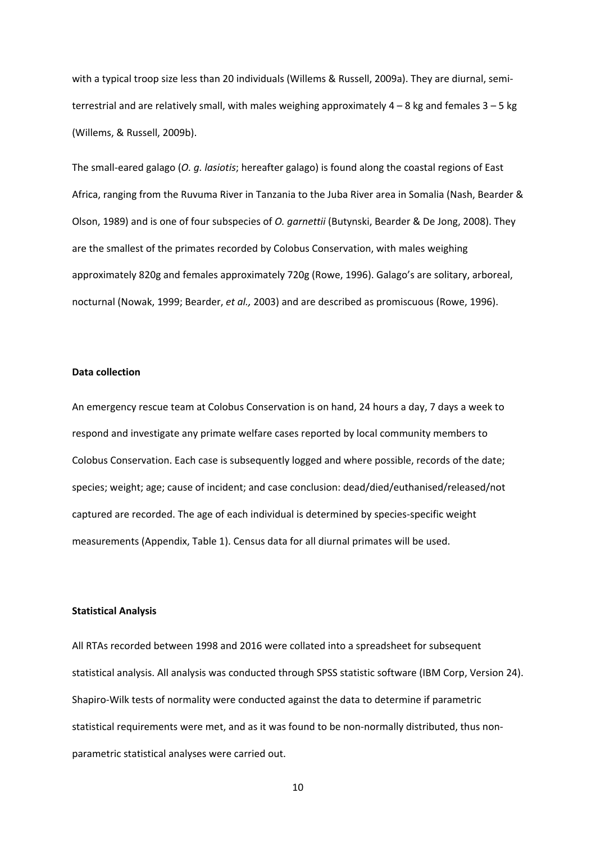with a typical troop size less than 20 individuals (Willems & Russell, 2009a). They are diurnal, semiterrestrial and are relatively small, with males weighing approximately  $4 - 8$  kg and females  $3 - 5$  kg (Willems, & Russell, 2009b).

The small‐eared galago (*O. g. lasiotis*; hereafter galago) is found along the coastal regions of East Africa, ranging from the Ruvuma River in Tanzania to the Juba River area in Somalia (Nash, Bearder & Olson, 1989) and is one of four subspecies of *O. garnettii* (Butynski, Bearder & De Jong, 2008). They are the smallest of the primates recorded by Colobus Conservation, with males weighing approximately 820g and females approximately 720g (Rowe, 1996). Galago's are solitary, arboreal, nocturnal (Nowak, 1999; Bearder, *et al.,* 2003) and are described as promiscuous (Rowe, 1996).

## **Data collection**

An emergency rescue team at Colobus Conservation is on hand, 24 hours a day, 7 days a week to respond and investigate any primate welfare cases reported by local community members to Colobus Conservation. Each case is subsequently logged and where possible, records of the date; species; weight; age; cause of incident; and case conclusion: dead/died/euthanised/released/not captured are recorded. The age of each individual is determined by species‐specific weight measurements (Appendix, Table 1). Census data for all diurnal primates will be used.

#### **Statistical Analysis**

All RTAs recorded between 1998 and 2016 were collated into a spreadsheet for subsequent statistical analysis. All analysis was conducted through SPSS statistic software (IBM Corp, Version 24). Shapiro‐Wilk tests of normality were conducted against the data to determine if parametric statistical requirements were met, and as it was found to be non‐normally distributed, thus non‐ parametric statistical analyses were carried out.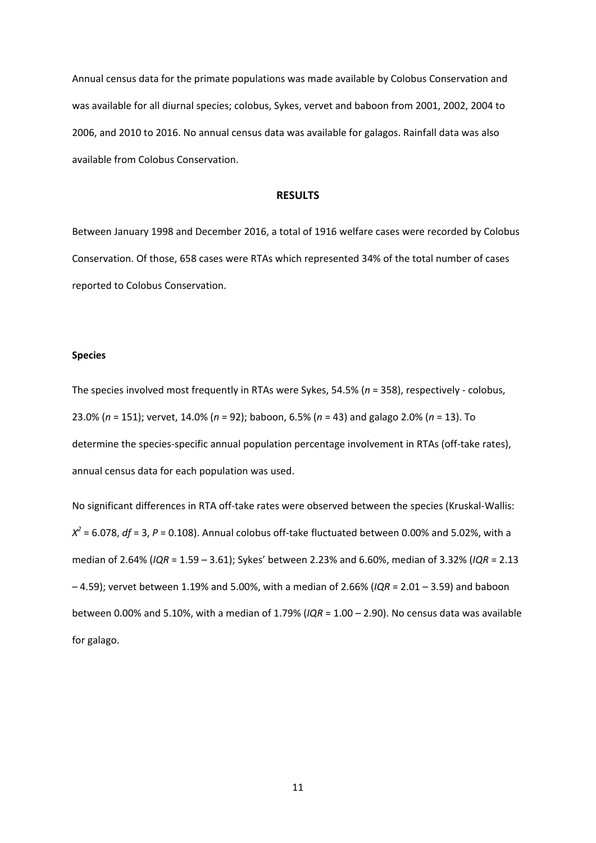Annual census data for the primate populations was made available by Colobus Conservation and was available for all diurnal species; colobus, Sykes, vervet and baboon from 2001, 2002, 2004 to 2006, and 2010 to 2016. No annual census data was available for galagos. Rainfall data was also available from Colobus Conservation.

#### **RESULTS**

Between January 1998 and December 2016, a total of 1916 welfare cases were recorded by Colobus Conservation. Of those, 658 cases were RTAs which represented 34% of the total number of cases reported to Colobus Conservation.

## **Species**

The species involved most frequently in RTAs were Sykes, 54.5% (*n* = 358), respectively ‐ colobus, 23.0% (*n* = 151); vervet, 14.0% (*n* = 92); baboon, 6.5% (*n* = 43) and galago 2.0% (*n* = 13). To determine the species-specific annual population percentage involvement in RTAs (off-take rates), annual census data for each population was used.

No significant differences in RTA off-take rates were observed between the species (Kruskal-Wallis:  $X^2$  = 6.078, *df* = 3, *P* = 0.108). Annual colobus off-take fluctuated between 0.00% and 5.02%, with a median of 2.64% (*IQR* = 1.59 – 3.61); Sykes' between 2.23% and 6.60%, median of 3.32% (*IQR* = 2.13 – 4.59); vervet between 1.19% and 5.00%, with a median of 2.66% (*IQR* = 2.01 – 3.59) and baboon between 0.00% and 5.10%, with a median of 1.79% (*IQR* = 1.00 – 2.90). No census data was available for galago.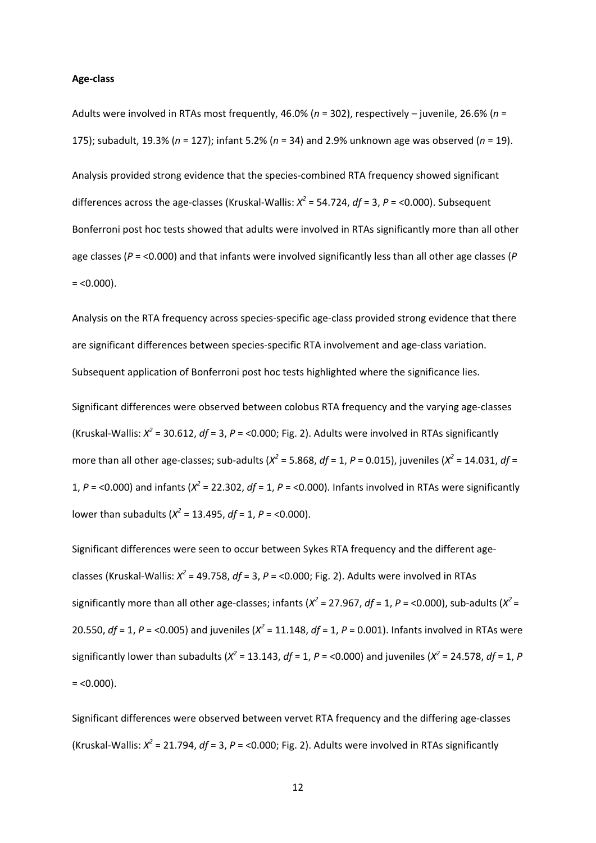#### **Age‐class**

Adults were involved in RTAs most frequently, 46.0% (*n* = 302), respectively – juvenile, 26.6% (*n* = 175); subadult, 19.3% (*n* = 127); infant 5.2% (*n* = 34) and 2.9% unknown age was observed (*n* = 19).

Analysis provided strong evidence that the species‐combined RTA frequency showed significant differences across the age‐classes (Kruskal‐Wallis: *X2* = 54.724, *df* = 3, *P* = <0.000). Subsequent Bonferroni post hoc tests showed that adults were involved in RTAs significantly more than all other age classes (*P* = <0.000) and that infants were involved significantly less than all other age classes (*P*  $= <0.000$ ).

Analysis on the RTA frequency across species‐specific age‐class provided strong evidence that there are significant differences between species-specific RTA involvement and age-class variation. Subsequent application of Bonferroni post hoc tests highlighted where the significance lies.

Significant differences were observed between colobus RTA frequency and the varying age‐classes (Kruskal-Wallis:  $X^2$  = 30.612,  $df$  = 3,  $P$  = <0.000; Fig. 2). Adults were involved in RTAs significantly more than all other age‐classes; sub‐adults (*X<sup>2</sup>* = 5.868, *df* = 1, *P* = 0.015), juveniles (*X<sup>2</sup>* = 14.031, *df* = 1, *P* = <0.000) and infants (*X<sup>2</sup>* = 22.302, *df* = 1, *P* = <0.000). Infants involved in RTAs were significantly lower than subadults ( $X^2$  = 13.495, *df* = 1, *P* = <0.000).

Significant differences were seen to occur between Sykes RTA frequency and the different age‐ classes (Kruskal‐Wallis: *X<sup>2</sup>* = 49.758, *df* = 3, *P* = <0.000; Fig. 2). Adults were involved in RTAs significantly more than all other age-classes; infants ( $X^2$  = 27.967,  $df$  = 1,  $P$  = <0.000), sub-adults ( $X^2$  = 20.550,  $df = 1$ ,  $P = 0.005$ ) and juveniles ( $X^2 = 11.148$ ,  $df = 1$ ,  $P = 0.001$ ). Infants involved in RTAs were significantly lower than subadults ( $X^2$  = 13.143,  $df$  = 1,  $P$  = <0.000) and juveniles ( $X^2$  = 24.578,  $df$  = 1,  $P$  $=$  <0.000).

Significant differences were observed between vervet RTA frequency and the differing age‐classes (Kruskal-Wallis:  $X^2 = 21.794$ ,  $df = 3$ ,  $P = 0.000$ ; Fig. 2). Adults were involved in RTAs significantly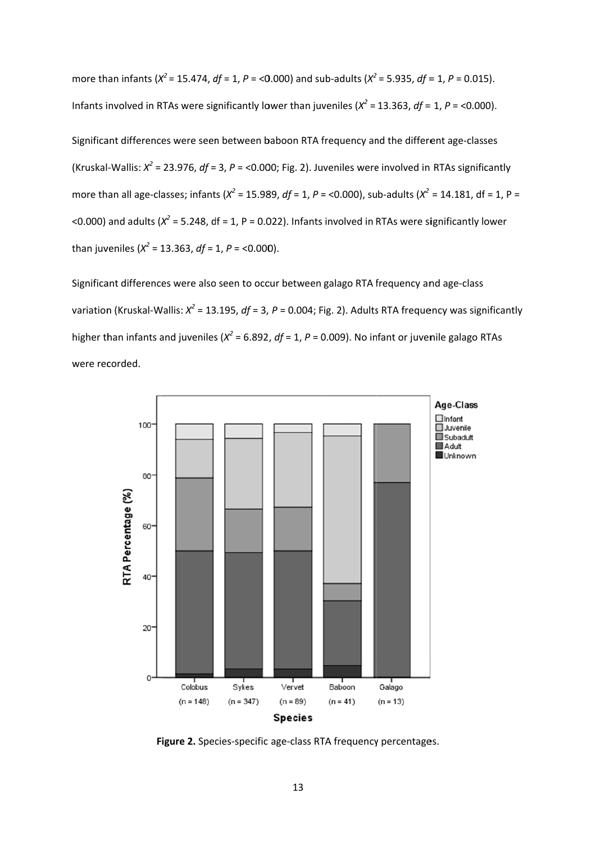more than infants ( $X^2$  = 15.474, df = 1, P = <0.000) and sub-adults ( $X^2$  = 5.935, df = 1, P = 0.015). Infants involved in RTAs were significantly lower than juveniles ( $X^2$  = 13.363, df = 1, P = <0.000).

Significant differences were seen between baboon RTA frequency and the different age-classes (Kruskal-Wallis:  $X^2$  = 23.976, df = 3, P = <0.000; Fig. 2). Juveniles were involved in RTAs significantly more than all age-classes; infants ( $X^2$  = 15.989, df = 1, P = <0.000), sub-adults ( $X^2$  = 14.181, df = 1, P = <0.000) and adults ( $X^2$  = 5.248, df = 1, P = 0.022). Infants involved in RTAs were significantly lower than juveniles ( $X^2$  = 13.363, df = 1, P = <0.000).

Significant differences were also seen to occur between galago RTA frequency and age-class variation (Kruskal-Wallis:  $x^2$  = 13.195, df = 3, P = 0.004; Fig. 2). Adults RTA frequency was significantly higher than infants and juveniles ( $X^2$  = 6.892, df = 1, P = 0.009). No infant or juvenile galago RTAs were recorded.



Figure 2. Species-specific age-class RTA frequency percentages.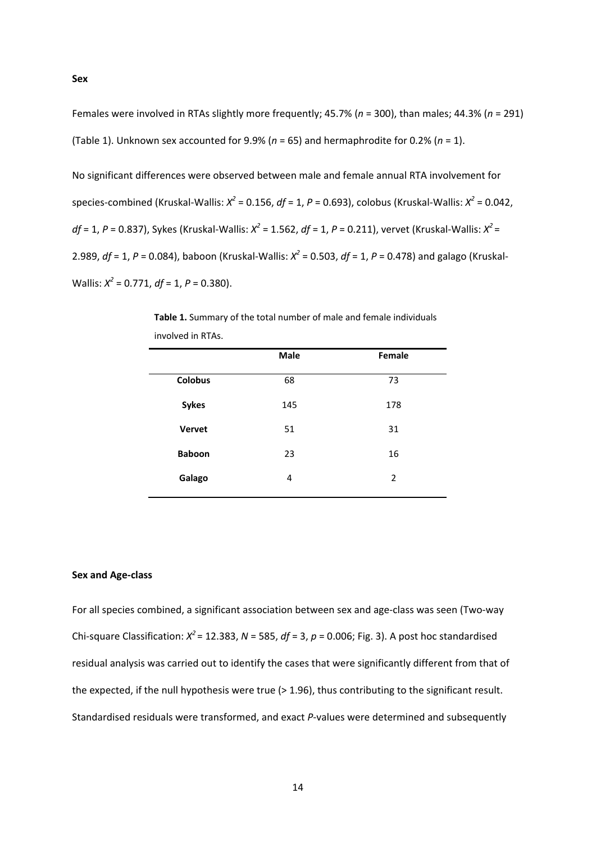**Sex** 

Females were involved in RTAs slightly more frequently; 45.7% (*n* = 300), than males; 44.3% (*n* = 291) (Table 1). Unknown sex accounted for 9.9% (*n* = 65) and hermaphrodite for 0.2% (*n* = 1).

No significant differences were observed between male and female annual RTA involvement for species‐combined (Kruskal‐Wallis: *X<sup>2</sup>* = 0.156, *df* = 1, *P* = 0.693), colobus (Kruskal‐Wallis: *X<sup>2</sup>* = 0.042, *df* = 1, *P* = 0.837), Sykes (Kruskal‐Wallis: *X<sup>2</sup>* = 1.562, *df* = 1, *P* = 0.211), vervet (Kruskal‐Wallis: *X<sup>2</sup>* = 2.989, *df* = 1, *P* = 0.084), baboon (Kruskal‐Wallis: *X<sup>2</sup>* = 0.503, *df* = 1, *P* = 0.478) and galago (Kruskal‐ Wallis: *X<sup>2</sup>* = 0.771, *df* = 1, *P* = 0.380).

|                | Male | Female |
|----------------|------|--------|
| <b>Colobus</b> | 68   | 73     |
| <b>Sykes</b>   | 145  | 178    |
| <b>Vervet</b>  | 51   | 31     |
| <b>Baboon</b>  | 23   | 16     |
| Galago         | 4    | 2      |
|                |      |        |

**Table 1.** Summary of the total number of male and female individuals involved in RTAs.

## **Sex and Age‐class**

For all species combined, a significant association between sex and age‐class was seen (Two‐way Chi‐square Classification: *X<sup>2</sup>*= 12.383, *N* = 585, *df* = 3, *p* = 0.006; Fig. 3). A post hoc standardised residual analysis was carried out to identify the cases that were significantly different from that of the expected, if the null hypothesis were true (> 1.96), thus contributing to the significant result. Standardised residuals were transformed, and exact *P*-values were determined and subsequently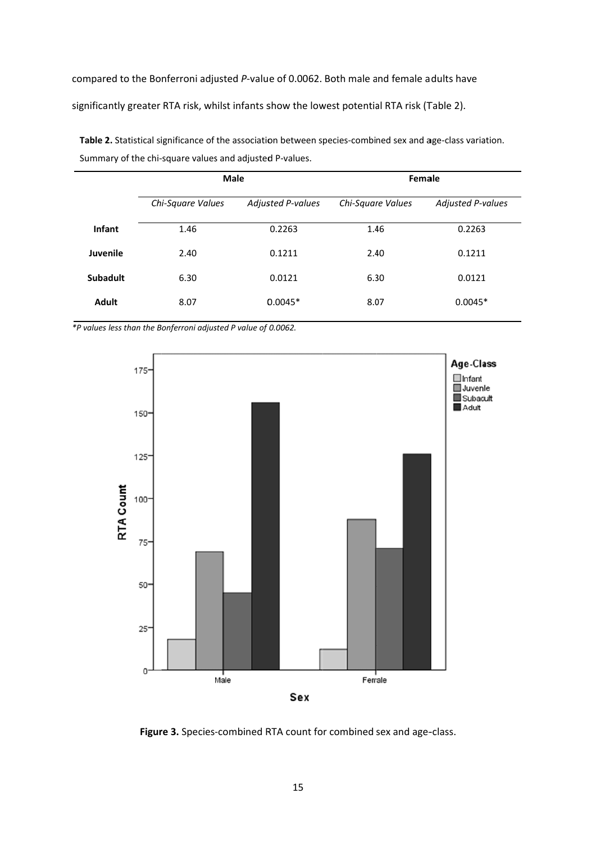compared to the Bonferroni adjusted P-value of 0.0062. Both male and female adults have

significantly greater RTA risk, whilst infants show the lowest potential RTA risk (Table 2).

|                 | <b>Male</b>       |                          | Female            |                          |  |
|-----------------|-------------------|--------------------------|-------------------|--------------------------|--|
|                 | Chi-Square Values | <b>Adjusted P-values</b> | Chi-Square Values | <b>Adjusted P-values</b> |  |
| Infant          | 1.46              | 0.2263                   | 1.46              | 0.2263                   |  |
| Juvenile        | 2.40              | 0.1211                   | 2.40              | 0.1211                   |  |
| <b>Subadult</b> | 6.30              | 0.0121                   | 6.30              | 0.0121                   |  |
| <b>Adult</b>    | 8.07              | $0.0045*$                | 8.07              | $0.0045*$                |  |

Table 2. Statistical significance of the association between species-combined sex and age-class variation. Summary of the chi-square values and adjusted P-values.

\*P values less than the Bonferroni adjusted P value of 0.0062.



Figure 3. Species-combined RTA count for combined sex and age-class.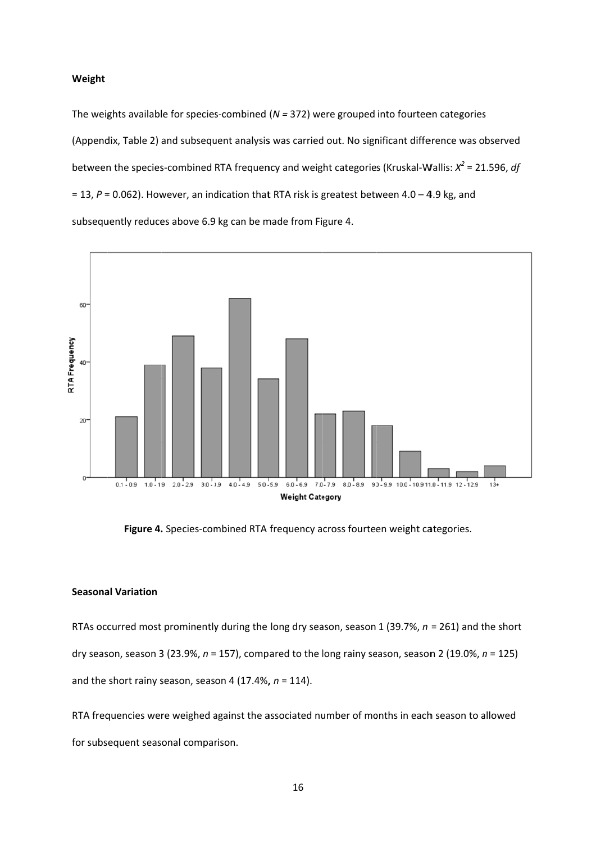#### Weight

The weights available for species-combined ( $N = 372$ ) were grouped into fourteen categories (Appendix, Table 2) and subsequent analysis was carried out. No significant difference was observed between the species-combined RTA frequency and weight categories (Kruskal-Wallis:  $X^2$  = 21.596, df = 13,  $P$  = 0.062). However, an indication that RTA risk is greatest between 4.0 - 4.9 kg, and subsequently reduces above 6.9 kg can be made from Figure 4.



Figure 4. Species-combined RTA frequency across fourteen weight categories.

## **Seasonal Variation**

RTAs occurred most prominently during the long dry season, season 1 (39.7%,  $n = 261$ ) and the short dry season, season 3 (23.9%,  $n = 157$ ), compared to the long rainy season, season 2 (19.0%,  $n = 125$ ) and the short rainy season, season 4 (17.4%,  $n = 114$ ).

RTA frequencies were weighed against the associated number of months in each season to allowed for subsequent seasonal comparison.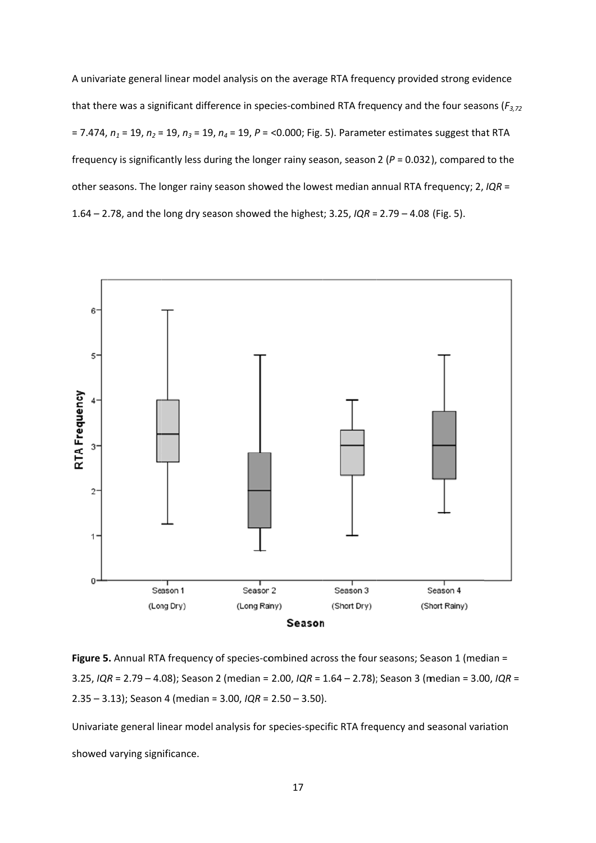A univariate general linear model analysis on the average RTA frequency provided strong evidence that there was a significant difference in species-combined RTA frequency and the four seasons ( $F_{3,72}$ ) = 7.474,  $n_1$  = 19,  $n_2$  = 19,  $n_3$  = 19,  $n_4$  = 19,  $P$  = <0.000; Fig. 5). Parameter estimates suggest that RTA frequency is significantly less during the longer rainy season, season 2 ( $P = 0.032$ ), compared to the other seasons. The longer rainy season showed the lowest median annual RTA frequency; 2, IQR = 1.64 – 2.78, and the long dry season showed the highest; 3.25,  $IQR = 2.79 - 4.08$  (Fig. 5).



Figure 5. Annual RTA frequency of species-combined across the four seasons; Season 1 (median = 3.25, IQR = 2.79 - 4.08); Season 2 (median = 2.00, IQR = 1.64 - 2.78); Season 3 (median = 3.00, IQR =  $2.35 - 3.13$ ; Season 4 (median = 3.00,  $IQR = 2.50 - 3.50$ ).

Univariate general linear model analysis for species-specific RTA frequency and seasonal variation showed varying significance.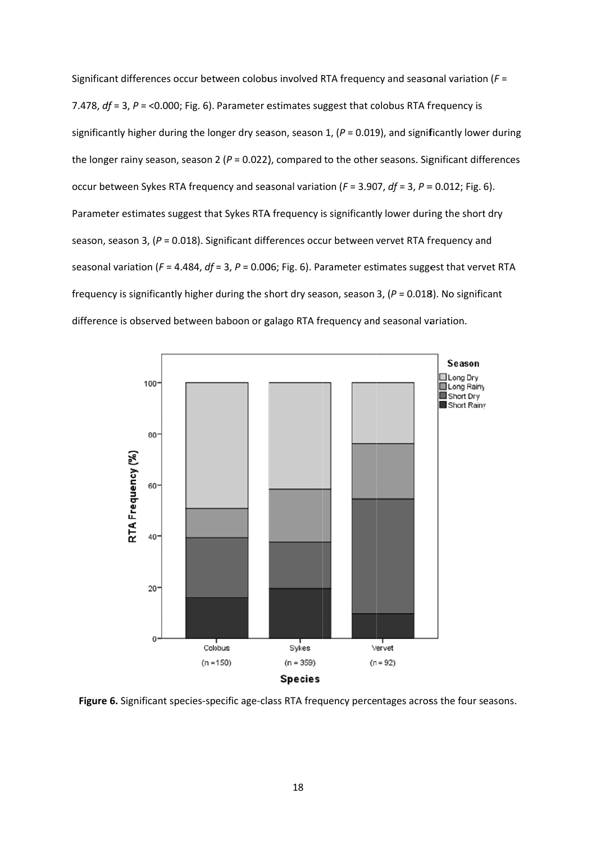Significant differences occur between colobus involved RTA frequency and seasonal variation ( $F =$ 7.478,  $df = 3$ ,  $P = 0.000$ ; Fig. 6). Parameter estimates suggest that colobus RTA frequency is significantly higher during the longer dry season, season 1, ( $P = 0.019$ ), and significantly lower during the longer rainy season, season 2 ( $P = 0.022$ ), compared to the other seasons. Significant differences occur between Sykes RTA frequency and seasonal variation ( $F = 3.907$ ,  $df = 3$ ,  $P = 0.012$ ; Fig. 6). Parameter estimates suggest that Sykes RTA frequency is significantly lower during the short dry season, season 3, ( $P = 0.018$ ). Significant differences occur between vervet RTA frequency and seasonal variation ( $F = 4.484$ ,  $df = 3$ ,  $P = 0.006$ ; Fig. 6). Parameter estimates suggest that vervet RTA frequency is significantly higher during the short dry season, season 3, ( $P = 0.018$ ). No significant difference is observed between baboon or galago RTA frequency and seasonal variation.



Figure 6. Significant species-specific age-class RTA frequency percentages across the four seasons.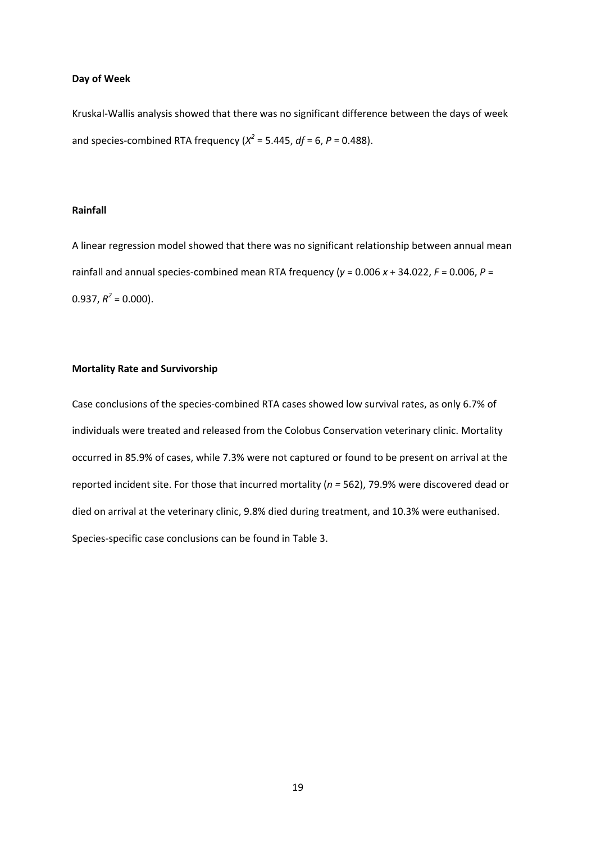#### **Day of Week**

Kruskal‐Wallis analysis showed that there was no significant difference between the days of week and species-combined RTA frequency  $(X^2 = 5.445, df = 6, P = 0.488)$ .

## **Rainfall**

A linear regression model showed that there was no significant relationship between annual mean rainfall and annual species-combined mean RTA frequency ( $y = 0.006 x + 34.022$ ,  $F = 0.006$ ,  $P =$  $0.937, R^2 = 0.000$ ).

## **Mortality Rate and Survivorship**

Case conclusions of the species‐combined RTA cases showed low survival rates, as only 6.7% of individuals were treated and released from the Colobus Conservation veterinary clinic. Mortality occurred in 85.9% of cases, while 7.3% were not captured or found to be present on arrival at the reported incident site. For those that incurred mortality (*n =* 562), 79.9% were discovered dead or died on arrival at the veterinary clinic, 9.8% died during treatment, and 10.3% were euthanised. Species‐specific case conclusions can be found in Table 3.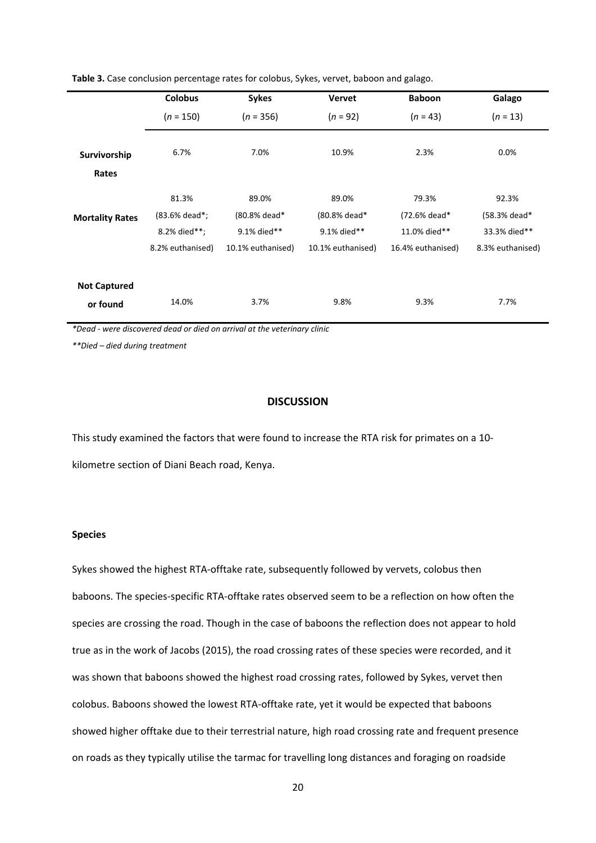|                                 | <b>Colobus</b>                                             | <b>Sykes</b>                                              | <b>Vervet</b>                                             | <b>Baboon</b>                                              | Galago                                                    |
|---------------------------------|------------------------------------------------------------|-----------------------------------------------------------|-----------------------------------------------------------|------------------------------------------------------------|-----------------------------------------------------------|
|                                 | $(n = 150)$                                                | $(n = 356)$                                               | $(n = 92)$                                                | $(n = 43)$                                                 | $(n = 13)$                                                |
| Survivorship<br>Rates           | 6.7%                                                       | 7.0%                                                      | 10.9%                                                     | 2.3%                                                       | 0.0%                                                      |
| <b>Mortality Rates</b>          | 81.3%<br>(83.6% dead*;<br>8.2% died**;<br>8.2% euthanised) | 89.0%<br>(80.8% dead*<br>9.1% died**<br>10.1% euthanised) | 89.0%<br>(80.8% dead*<br>9.1% died**<br>10.1% euthanised) | 79.3%<br>(72.6% dead*<br>11.0% died**<br>16.4% euthanised) | 92.3%<br>(58.3% dead*<br>33.3% died**<br>8.3% euthanised) |
| <b>Not Captured</b><br>or found | 14.0%                                                      | 3.7%                                                      | 9.8%                                                      | 9.3%                                                       | 7.7%                                                      |

**Table 3.** Case conclusion percentage rates for colobus, Sykes, vervet, baboon and galago.

*\*Dead ‐ were discovered dead or died on arrival at the veterinary clinic*

*\*\*Died – died during treatment*

## **DISCUSSION**

This study examined the factors that were found to increase the RTA risk for primates on a 10‐ kilometre section of Diani Beach road, Kenya.

## **Species**

Sykes showed the highest RTA‐offtake rate, subsequently followed by vervets, colobus then baboons. The species‐specific RTA‐offtake rates observed seem to be a reflection on how often the species are crossing the road. Though in the case of baboons the reflection does not appear to hold true as in the work of Jacobs (2015), the road crossing rates of these species were recorded, and it was shown that baboons showed the highest road crossing rates, followed by Sykes, vervet then colobus. Baboons showed the lowest RTA‐offtake rate, yet it would be expected that baboons showed higher offtake due to their terrestrial nature, high road crossing rate and frequent presence on roads as they typically utilise the tarmac for travelling long distances and foraging on roadside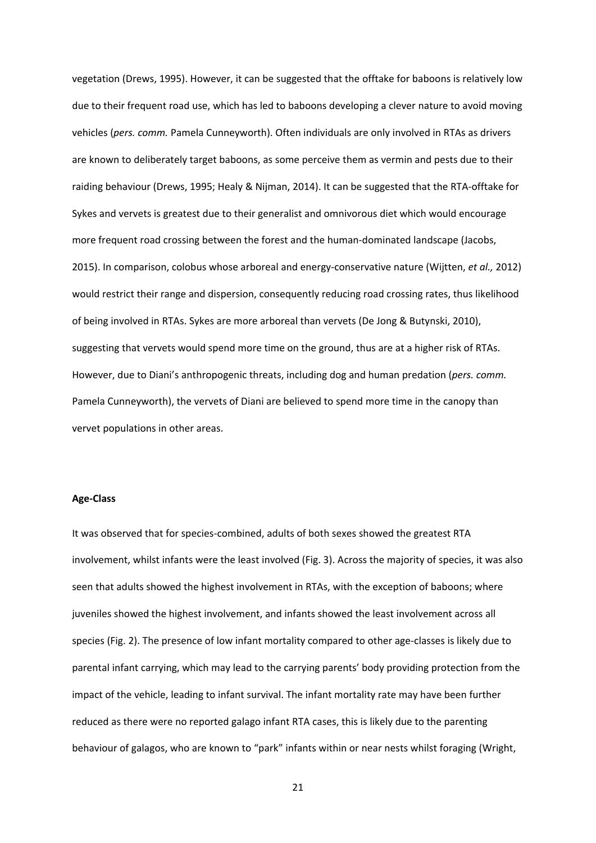vegetation (Drews, 1995). However, it can be suggested that the offtake for baboons is relatively low due to their frequent road use, which has led to baboons developing a clever nature to avoid moving vehicles (*pers. comm.* Pamela Cunneyworth). Often individuals are only involved in RTAs as drivers are known to deliberately target baboons, as some perceive them as vermin and pests due to their raiding behaviour (Drews, 1995; Healy & Nijman, 2014). It can be suggested that the RTA‐offtake for Sykes and vervets is greatest due to their generalist and omnivorous diet which would encourage more frequent road crossing between the forest and the human-dominated landscape (Jacobs, 2015). In comparison, colobus whose arboreal and energy‐conservative nature (Wijtten, *et al.,* 2012) would restrict their range and dispersion, consequently reducing road crossing rates, thus likelihood of being involved in RTAs. Sykes are more arboreal than vervets (De Jong & Butynski, 2010), suggesting that vervets would spend more time on the ground, thus are at a higher risk of RTAs. However, due to Diani's anthropogenic threats, including dog and human predation (*pers. comm.* Pamela Cunneyworth), the vervets of Diani are believed to spend more time in the canopy than vervet populations in other areas.

#### **Age‐Class**

It was observed that for species‐combined, adults of both sexes showed the greatest RTA involvement, whilst infants were the least involved (Fig. 3). Across the majority of species, it was also seen that adults showed the highest involvement in RTAs, with the exception of baboons; where juveniles showed the highest involvement, and infants showed the least involvement across all species (Fig. 2). The presence of low infant mortality compared to other age-classes is likely due to parental infant carrying, which may lead to the carrying parents' body providing protection from the impact of the vehicle, leading to infant survival. The infant mortality rate may have been further reduced as there were no reported galago infant RTA cases, this is likely due to the parenting behaviour of galagos, who are known to "park" infants within or near nests whilst foraging (Wright,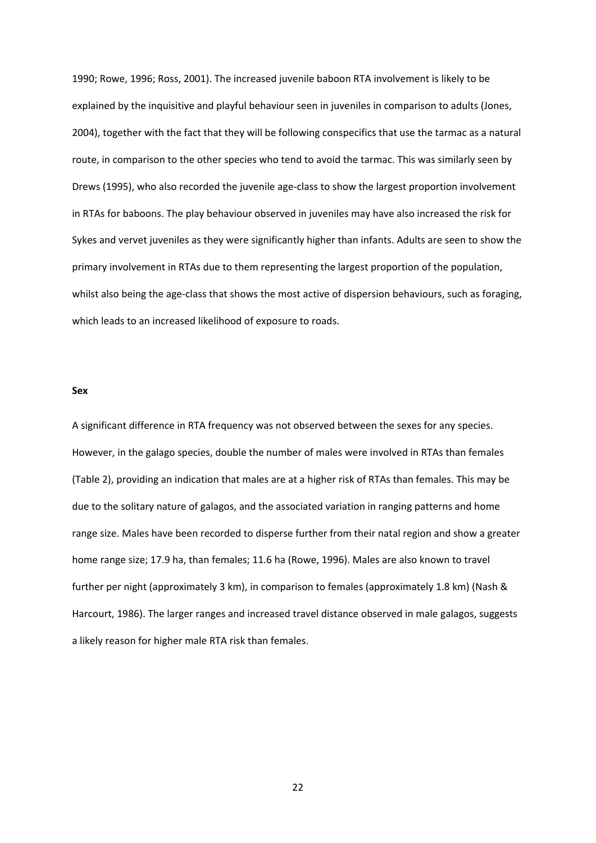1990; Rowe, 1996; Ross, 2001). The increased juvenile baboon RTA involvement is likely to be explained by the inquisitive and playful behaviour seen in juveniles in comparison to adults (Jones, 2004), together with the fact that they will be following conspecifics that use the tarmac as a natural route, in comparison to the other species who tend to avoid the tarmac. This was similarly seen by Drews (1995), who also recorded the juvenile age‐class to show the largest proportion involvement in RTAs for baboons. The play behaviour observed in juveniles may have also increased the risk for Sykes and vervet juveniles as they were significantly higher than infants. Adults are seen to show the primary involvement in RTAs due to them representing the largest proportion of the population, whilst also being the age-class that shows the most active of dispersion behaviours, such as foraging, which leads to an increased likelihood of exposure to roads.

## **Sex**

A significant difference in RTA frequency was not observed between the sexes for any species. However, in the galago species, double the number of males were involved in RTAs than females (Table 2), providing an indication that males are at a higher risk of RTAs than females. This may be due to the solitary nature of galagos, and the associated variation in ranging patterns and home range size. Males have been recorded to disperse further from their natal region and show a greater home range size; 17.9 ha, than females; 11.6 ha (Rowe, 1996). Males are also known to travel further per night (approximately 3 km), in comparison to females (approximately 1.8 km) (Nash & Harcourt, 1986). The larger ranges and increased travel distance observed in male galagos, suggests a likely reason for higher male RTA risk than females.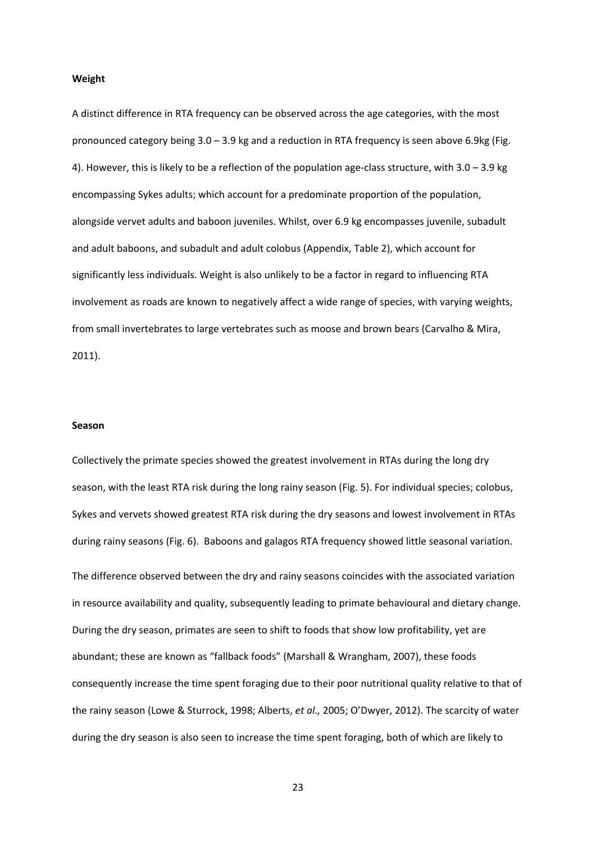#### **Weight**

A distinct difference in RTA frequency can be observed across the age categories, with the most pronounced category being 3.0 – 3.9 kg and a reduction in RTA frequency is seen above 6.9kg (Fig. 4). However, this is likely to be a reflection of the population age-class structure, with  $3.0 - 3.9$  kg encompassing Sykes adults; which account for a predominate proportion of the population, alongside vervet adults and baboon juveniles. Whilst, over 6.9 kg encompasses juvenile, subadult and adult baboons, and subadult and adult colobus (Appendix, Table 2), which account for significantly less individuals. Weight is also unlikely to be a factor in regard to influencing RTA involvement as roads are known to negatively affect a wide range of species, with varying weights, from small invertebrates to large vertebrates such as moose and brown bears (Carvalho & Mira, 2011).

#### **Season**

Collectively the primate species showed the greatest involvement in RTAs during the long dry season, with the least RTA risk during the long rainy season (Fig. 5). For individual species; colobus, Sykes and vervets showed greatest RTA risk during the dry seasons and lowest involvement in RTAs during rainy seasons (Fig. 6). Baboons and galagos RTA frequency showed little seasonal variation. The difference observed between the dry and rainy seasons coincides with the associated variation in resource availability and quality, subsequently leading to primate behavioural and dietary change. During the dry season, primates are seen to shift to foods that show low profitability, yet are abundant; these are known as "fallback foods" (Marshall & Wrangham, 2007), these foods consequently increase the time spent foraging due to their poor nutritional quality relative to that of the rainy season (Lowe & Sturrock, 1998; Alberts, *et al.,* 2005; O'Dwyer, 2012). The scarcity of water during the dry season is also seen to increase the time spent foraging, both of which are likely to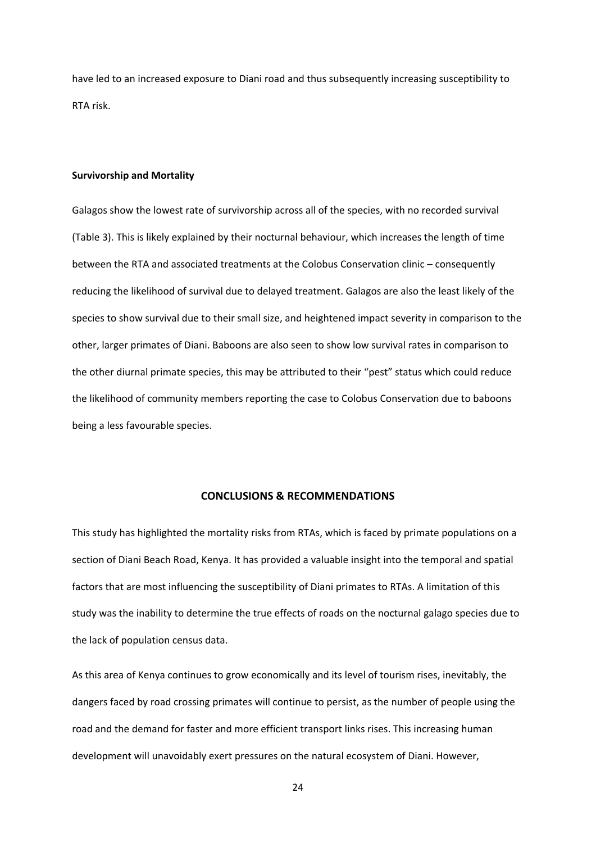have led to an increased exposure to Diani road and thus subsequently increasing susceptibility to RTA risk.

#### **Survivorship and Mortality**

Galagos show the lowest rate of survivorship across all of the species, with no recorded survival (Table 3). This is likely explained by their nocturnal behaviour, which increases the length of time between the RTA and associated treatments at the Colobus Conservation clinic – consequently reducing the likelihood of survival due to delayed treatment. Galagos are also the least likely of the species to show survival due to their small size, and heightened impact severity in comparison to the other, larger primates of Diani. Baboons are also seen to show low survival rates in comparison to the other diurnal primate species, this may be attributed to their "pest" status which could reduce the likelihood of community members reporting the case to Colobus Conservation due to baboons being a less favourable species.

## **CONCLUSIONS & RECOMMENDATIONS**

This study has highlighted the mortality risks from RTAs, which is faced by primate populations on a section of Diani Beach Road, Kenya. It has provided a valuable insight into the temporal and spatial factors that are most influencing the susceptibility of Diani primates to RTAs. A limitation of this study was the inability to determine the true effects of roads on the nocturnal galago species due to the lack of population census data.

As this area of Kenya continues to grow economically and its level of tourism rises, inevitably, the dangers faced by road crossing primates will continue to persist, as the number of people using the road and the demand for faster and more efficient transport links rises. This increasing human development will unavoidably exert pressures on the natural ecosystem of Diani. However,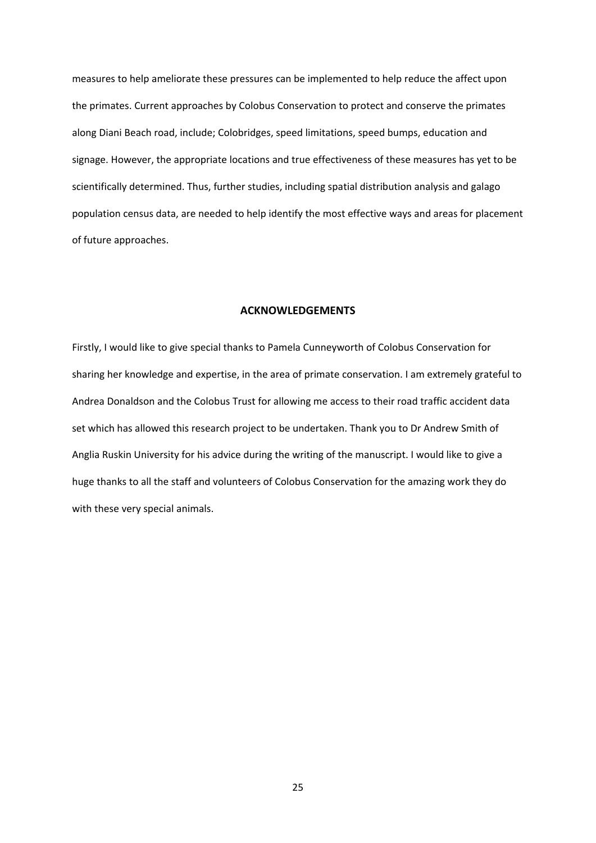measures to help ameliorate these pressures can be implemented to help reduce the affect upon the primates. Current approaches by Colobus Conservation to protect and conserve the primates along Diani Beach road, include; Colobridges, speed limitations, speed bumps, education and signage. However, the appropriate locations and true effectiveness of these measures has yet to be scientifically determined. Thus, further studies, including spatial distribution analysis and galago population census data, are needed to help identify the most effective ways and areas for placement of future approaches.

#### **ACKNOWLEDGEMENTS**

Firstly, I would like to give special thanks to Pamela Cunneyworth of Colobus Conservation for sharing her knowledge and expertise, in the area of primate conservation. I am extremely grateful to Andrea Donaldson and the Colobus Trust for allowing me access to their road traffic accident data set which has allowed this research project to be undertaken. Thank you to Dr Andrew Smith of Anglia Ruskin University for his advice during the writing of the manuscript. I would like to give a huge thanks to all the staff and volunteers of Colobus Conservation for the amazing work they do with these very special animals.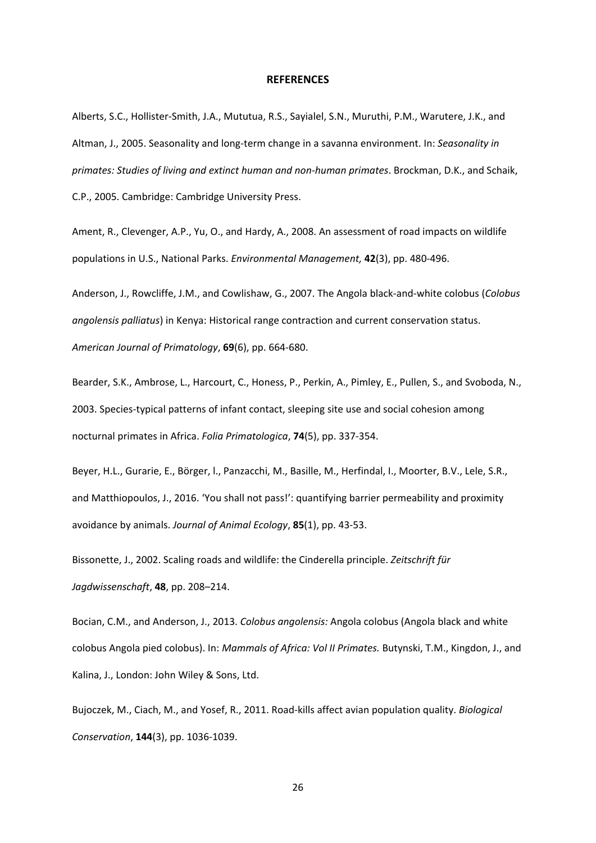#### **REFERENCES**

Alberts, S.C., Hollister‐Smith, J.A., Mututua, R.S., Sayialel, S.N., Muruthi, P.M., Warutere, J.K., and Altman, J., 2005. Seasonality and long‐term change in a savanna environment. In: *Seasonality in primates: Studies of living and extinct human and non‐human primates*. Brockman, D.K., and Schaik, C.P., 2005. Cambridge: Cambridge University Press.

Ament, R., Clevenger, A.P., Yu, O., and Hardy, A., 2008. An assessment of road impacts on wildlife populations in U.S., National Parks. *Environmental Management,* **42**(3), pp. 480‐496.

Anderson, J., Rowcliffe, J.M., and Cowlishaw, G., 2007. The Angola black‐and‐white colobus (*Colobus angolensis palliatus*) in Kenya: Historical range contraction and current conservation status. *American Journal of Primatology*, **69**(6), pp. 664‐680.

Bearder, S.K., Ambrose, L., Harcourt, C., Honess, P., Perkin, A., Pimley, E., Pullen, S., and Svoboda, N., 2003. Species‐typical patterns of infant contact, sleeping site use and social cohesion among nocturnal primates in Africa. *Folia Primatologica*, **74**(5), pp. 337‐354.

Beyer, H.L., Gurarie, E., Börger, l., Panzacchi, M., Basille, M., Herfindal, I., Moorter, B.V., Lele, S.R., and Matthiopoulos, J., 2016. 'You shall not pass!': quantifying barrier permeability and proximity avoidance by animals. *Journal of Animal Ecology*, **85**(1), pp. 43‐53.

Bissonette, J., 2002. Scaling roads and wildlife: the Cinderella principle. *Zeitschrift für Jagdwissenschaft*, **48**, pp. 208–214.

Bocian, C.M., and Anderson, J., 2013. *Colobus angolensis:* Angola colobus (Angola black and white colobus Angola pied colobus). In: *Mammals of Africa: Vol II Primates.* Butynski, T.M., Kingdon, J., and Kalina, J., London: John Wiley & Sons, Ltd.

Bujoczek, M., Ciach, M., and Yosef, R., 2011. Road‐kills affect avian population quality. *Biological Conservation*, **144**(3), pp. 1036‐1039.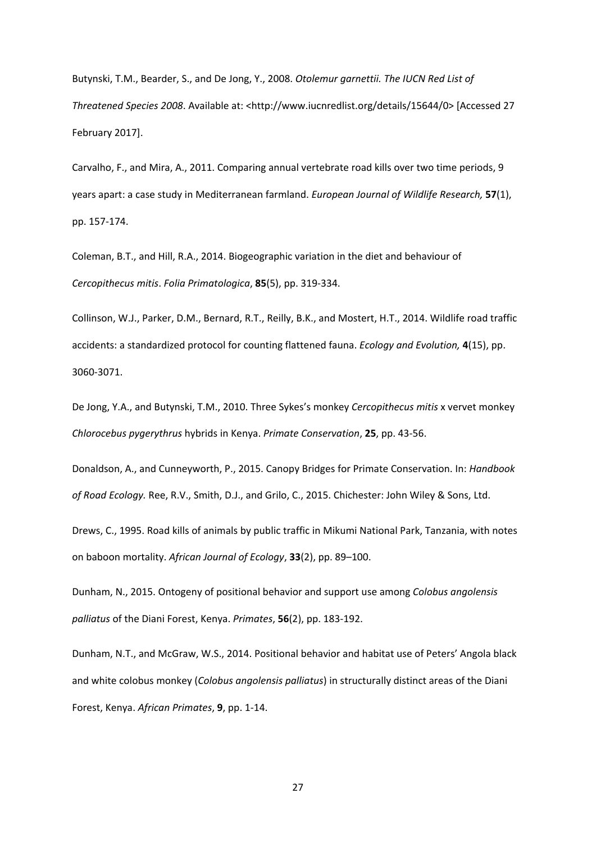Butynski, T.M., Bearder, S., and De Jong, Y., 2008. *Otolemur garnettii. The IUCN Red List of Threatened Species 2008*. Available at: <http://www.iucnredlist.org/details/15644/0> [Accessed 27 February 2017].

Carvalho, F., and Mira, A., 2011. Comparing annual vertebrate road kills over two time periods, 9 years apart: a case study in Mediterranean farmland. *European Journal of Wildlife Research,* **57**(1), pp. 157‐174.

Coleman, B.T., and Hill, R.A., 2014. Biogeographic variation in the diet and behaviour of *Cercopithecus mitis*. *Folia Primatologica*, **85**(5), pp. 319‐334.

Collinson, W.J., Parker, D.M., Bernard, R.T., Reilly, B.K., and Mostert, H.T., 2014. Wildlife road traffic accidents: a standardized protocol for counting flattened fauna. *Ecology and Evolution,* **4**(15), pp. 3060‐3071.

De Jong, Y.A., and Butynski, T.M., 2010. Three Sykes's monkey *Cercopithecus mitis* x vervet monkey *Chlorocebus pygerythrus* hybrids in Kenya. *Primate Conservation*, **25**, pp. 43‐56.

Donaldson, A., and Cunneyworth, P., 2015. Canopy Bridges for Primate Conservation. In: *Handbook of Road Ecology.* Ree, R.V., Smith, D.J., and Grilo, C., 2015. Chichester: John Wiley & Sons, Ltd.

Drews, C., 1995. Road kills of animals by public traffic in Mikumi National Park, Tanzania, with notes on baboon mortality. *African Journal of Ecology*, **33**(2), pp. 89–100.

Dunham, N., 2015. Ontogeny of positional behavior and support use among *Colobus angolensis palliatus* of the Diani Forest, Kenya. *Primates*, **56**(2), pp. 183‐192.

Dunham, N.T., and McGraw, W.S., 2014. Positional behavior and habitat use of Peters' Angola black and white colobus monkey (*Colobus angolensis palliatus*) in structurally distinct areas of the Diani Forest, Kenya. *African Primates*, **9**, pp. 1‐14.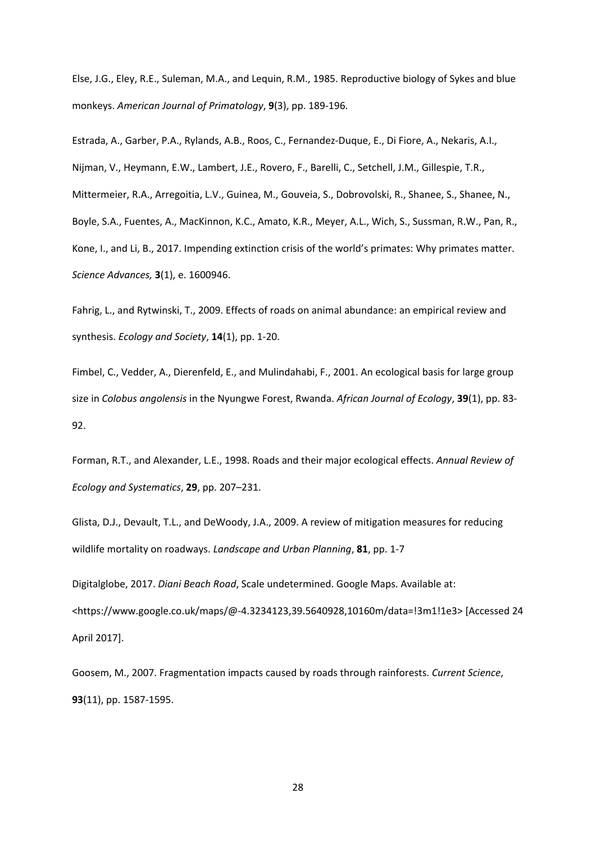Else, J.G., Eley, R.E., Suleman, M.A., and Lequin, R.M., 1985. Reproductive biology of Sykes and blue monkeys. *American Journal of Primatology*, **9**(3), pp. 189‐196.

Estrada, A., Garber, P.A., Rylands, A.B., Roos, C., Fernandez‐Duque, E., Di Fiore, A., Nekaris, A.I., Nijman, V., Heymann, E.W., Lambert, J.E., Rovero, F., Barelli, C., Setchell, J.M., Gillespie, T.R., Mittermeier, R.A., Arregoitia, L.V., Guinea, M., Gouveia, S., Dobrovolski, R., Shanee, S., Shanee, N., Boyle, S.A., Fuentes, A., MacKinnon, K.C., Amato, K.R., Meyer, A.L., Wich, S., Sussman, R.W., Pan, R., Kone, I., and Li, B., 2017. Impending extinction crisis of the world's primates: Why primates matter. *Science Advances,* **3**(1), e. 1600946.

Fahrig, L., and Rytwinski, T., 2009. Effects of roads on animal abundance: an empirical review and synthesis. *Ecology and Society*, **14**(1), pp. 1‐20.

Fimbel, C., Vedder, A., Dierenfeld, E., and Mulindahabi, F., 2001. An ecological basis for large group size in *Colobus angolensis* in the Nyungwe Forest, Rwanda. *African Journal of Ecology*, **39**(1), pp. 83‐ 92.

Forman, R.T., and Alexander, L.E., 1998. Roads and their major ecological effects. *Annual Review of Ecology and Systematics*, **29**, pp. 207–231.

Glista, D.J., Devault, T.L., and DeWoody, J.A., 2009. A review of mitigation measures for reducing wildlife mortality on roadways. *Landscape and Urban Planning*, **81**, pp. 1‐7

Digitalglobe, 2017. *Diani Beach Road*, Scale undetermined. Google Maps. Available at: <https://www.google.co.uk/maps/@‐4.3234123,39.5640928,10160m/data=!3m1!1e3> [Accessed 24 April 2017].

Goosem, M., 2007. Fragmentation impacts caused by roads through rainforests. *Current Science*, **93**(11), pp. 1587‐1595.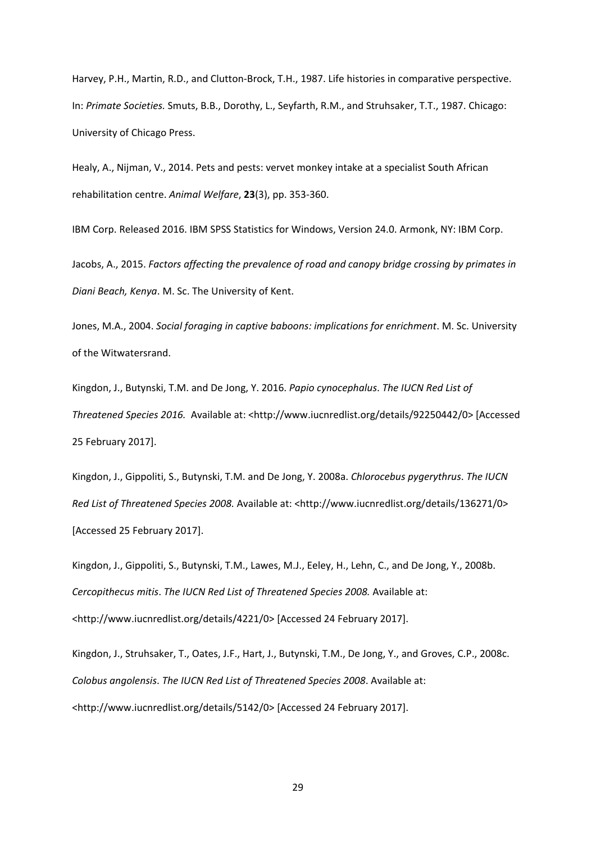Harvey, P.H., Martin, R.D., and Clutton‐Brock, T.H., 1987. Life histories in comparative perspective. In: *Primate Societies.* Smuts, B.B., Dorothy, L., Seyfarth, R.M., and Struhsaker, T.T., 1987. Chicago: University of Chicago Press.

Healy, A., Nijman, V., 2014. Pets and pests: vervet monkey intake at a specialist South African rehabilitation centre. *Animal Welfare*, **23**(3), pp. 353‐360.

IBM Corp. Released 2016. IBM SPSS Statistics for Windows, Version 24.0. Armonk, NY: IBM Corp.

Jacobs, A., 2015. *Factors affecting the prevalence of road and canopy bridge crossing by primates in Diani Beach, Kenya*. M. Sc. The University of Kent.

Jones, M.A., 2004. *Social foraging in captive baboons: implications for enrichment*. M. Sc. University of the Witwatersrand.

Kingdon, J., Butynski, T.M. and De Jong, Y. 2016. *Papio cynocephalus*. *The IUCN Red List of Threatened Species 2016.* Available at: <http://www.iucnredlist.org/details/92250442/0> [Accessed 25 February 2017].

Kingdon, J., Gippoliti, S., Butynski, T.M. and De Jong, Y. 2008a. *Chlorocebus pygerythrus*. *The IUCN Red List of Threatened Species 2008.* Available at: <http://www.iucnredlist.org/details/136271/0> [Accessed 25 February 2017].

Kingdon, J., Gippoliti, S., Butynski, T.M., Lawes, M.J., Eeley, H., Lehn, C., and De Jong, Y., 2008b. *Cercopithecus mitis*. *The IUCN Red List of Threatened Species 2008.* Available at: <http://www.iucnredlist.org/details/4221/0> [Accessed 24 February 2017].

Kingdon, J., Struhsaker, T., Oates, J.F., Hart, J., Butynski, T.M., De Jong, Y., and Groves, C.P., 2008c. *Colobus angolensis*. *The IUCN Red List of Threatened Species 2008*. Available at: <http://www.iucnredlist.org/details/5142/0> [Accessed 24 February 2017].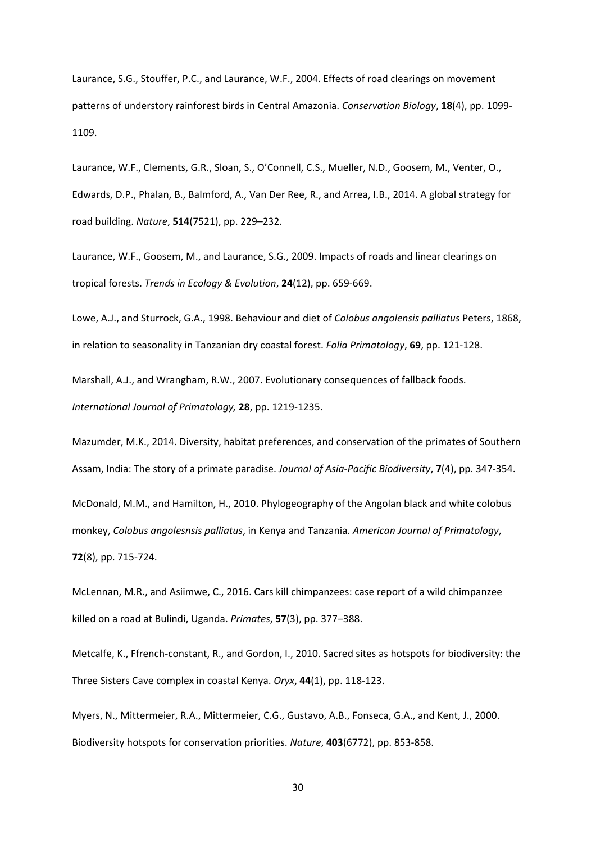Laurance, S.G., Stouffer, P.C., and Laurance, W.F., 2004. Effects of road clearings on movement patterns of understory rainforest birds in Central Amazonia. *Conservation Biology*, **18**(4), pp. 1099‐ 1109.

Laurance, W.F., Clements, G.R., Sloan, S., O'Connell, C.S., Mueller, N.D., Goosem, M., Venter, O., Edwards, D.P., Phalan, B., Balmford, A., Van Der Ree, R., and Arrea, I.B., 2014. A global strategy for road building. *Nature*, **514**(7521), pp. 229–232.

Laurance, W.F., Goosem, M., and Laurance, S.G., 2009. Impacts of roads and linear clearings on tropical forests. *Trends in Ecology & Evolution*, **24**(12), pp. 659‐669.

Lowe, A.J., and Sturrock, G.A., 1998. Behaviour and diet of *Colobus angolensis palliatus* Peters, 1868, in relation to seasonality in Tanzanian dry coastal forest. *Folia Primatology*, **69**, pp. 121‐128.

Marshall, A.J., and Wrangham, R.W., 2007. Evolutionary consequences of fallback foods. *International Journal of Primatology,* **28**, pp. 1219‐1235.

Mazumder, M.K., 2014. Diversity, habitat preferences, and conservation of the primates of Southern Assam, India: The story of a primate paradise. *Journal of Asia‐Pacific Biodiversity*, **7**(4), pp. 347‐354.

McDonald, M.M., and Hamilton, H., 2010. Phylogeography of the Angolan black and white colobus monkey, *Colobus angolesnsis palliatus*, in Kenya and Tanzania. *American Journal of Primatology*, **72**(8), pp. 715‐724.

McLennan, M.R., and Asiimwe, C., 2016. Cars kill chimpanzees: case report of a wild chimpanzee killed on a road at Bulindi, Uganda. *Primates*, **57**(3), pp. 377–388.

Metcalfe, K., Ffrench‐constant, R., and Gordon, I., 2010. Sacred sites as hotspots for biodiversity: the Three Sisters Cave complex in coastal Kenya. *Oryx*, **44**(1), pp. 118‐123.

Myers, N., Mittermeier, R.A., Mittermeier, C.G., Gustavo, A.B., Fonseca, G.A., and Kent, J., 2000. Biodiversity hotspots for conservation priorities. *Nature*, **403**(6772), pp. 853‐858.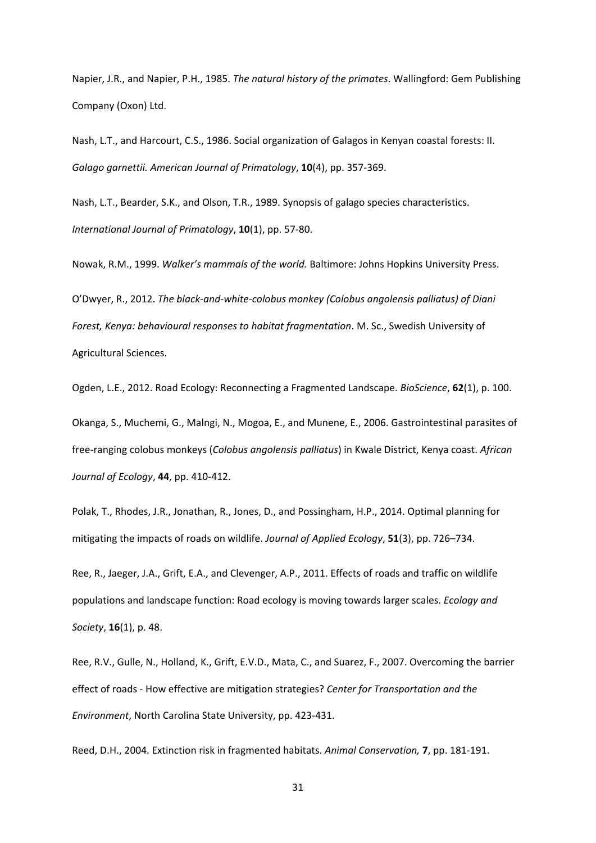Napier, J.R., and Napier, P.H., 1985. *The natural history of the primates*. Wallingford: Gem Publishing Company (Oxon) Ltd.

Nash, L.T., and Harcourt, C.S., 1986. Social organization of Galagos in Kenyan coastal forests: II. *Galago garnettii. American Journal of Primatology*, **10**(4), pp. 357‐369.

Nash, L.T., Bearder, S.K., and Olson, T.R., 1989. Synopsis of galago species characteristics. *International Journal of Primatology*, **10**(1), pp. 57‐80.

Nowak, R.M., 1999. *Walker's mammals of the world.* Baltimore: Johns Hopkins University Press.

O'Dwyer, R., 2012. *The black‐and‐white‐colobus monkey (Colobus angolensis palliatus) of Diani Forest, Kenya: behavioural responses to habitat fragmentation*. M. Sc., Swedish University of Agricultural Sciences.

Ogden, L.E., 2012. Road Ecology: Reconnecting a Fragmented Landscape. *BioScience*, **62**(1), p. 100.

Okanga, S., Muchemi, G., Malngi, N., Mogoa, E., and Munene, E., 2006. Gastrointestinal parasites of free‐ranging colobus monkeys (*Colobus angolensis palliatus*) in Kwale District, Kenya coast. *African Journal of Ecology*, **44**, pp. 410‐412.

Polak, T., Rhodes, J.R., Jonathan, R., Jones, D., and Possingham, H.P., 2014. Optimal planning for mitigating the impacts of roads on wildlife. *Journal of Applied Ecology*, **51**(3), pp. 726–734.

Ree, R., Jaeger, J.A., Grift, E.A., and Clevenger, A.P., 2011. Effects of roads and traffic on wildlife populations and landscape function: Road ecology is moving towards larger scales. *Ecology and Society*, **16**(1), p. 48.

Ree, R.V., Gulle, N., Holland, K., Grift, E.V.D., Mata, C., and Suarez, F., 2007. Overcoming the barrier effect of roads ‐ How effective are mitigation strategies? *Center for Transportation and the Environment*, North Carolina State University, pp. 423‐431.

Reed, D.H., 2004. Extinction risk in fragmented habitats. *Animal Conservation,* **7**, pp. 181‐191.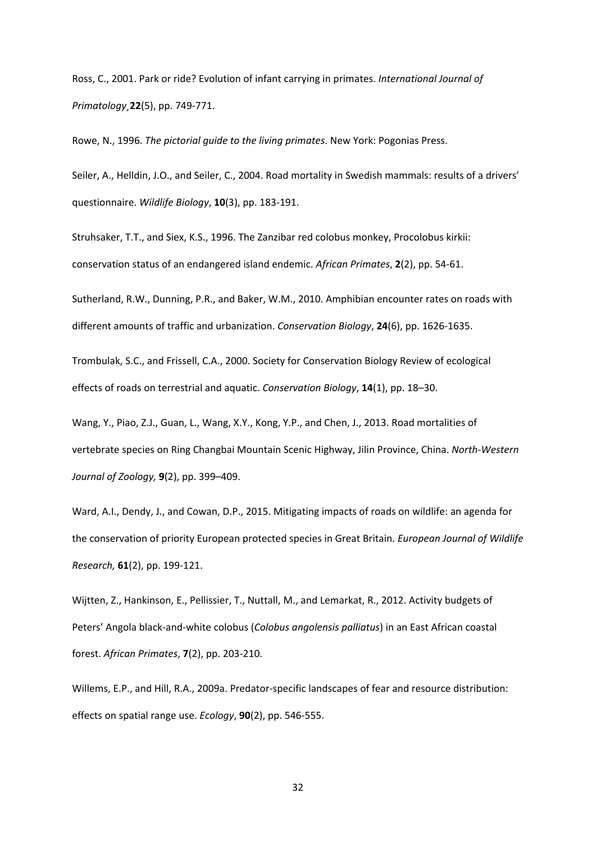Ross, C., 2001. Park or ride? Evolution of infant carrying in primates. *International Journal of Primatology¸***22**(5), pp. 749‐771.

Rowe, N., 1996. *The pictorial guide to the living primates*. New York: Pogonias Press.

Seiler, A., Helldin, J.O., and Seiler, C., 2004. Road mortality in Swedish mammals: results of a drivers' questionnaire. *Wildlife Biology*, **10**(3), pp. 183‐191.

Struhsaker, T.T., and Siex, K.S., 1996. The Zanzibar red colobus monkey, Procolobus kirkii: conservation status of an endangered island endemic. *African Primates*, **2**(2), pp. 54‐61.

Sutherland, R.W., Dunning, P.R., and Baker, W.M., 2010. Amphibian encounter rates on roads with different amounts of traffic and urbanization. *Conservation Biology*, **24**(6), pp. 1626‐1635.

Trombulak, S.C., and Frissell, C.A., 2000. Society for Conservation Biology Review of ecological effects of roads on terrestrial and aquatic. *Conservation Biology*, **14**(1), pp. 18–30.

Wang, Y., Piao, Z.J., Guan, L., Wang, X.Y., Kong, Y.P., and Chen, J., 2013. Road mortalities of vertebrate species on Ring Changbai Mountain Scenic Highway, Jilin Province, China. *North‐Western Journal of Zoology,* **9**(2), pp. 399–409.

Ward, A.I., Dendy, J., and Cowan, D.P., 2015. Mitigating impacts of roads on wildlife: an agenda for the conservation of priority European protected species in Great Britain. *European Journal of Wildlife Research,* **61**(2), pp. 199‐121.

Wijtten, Z., Hankinson, E., Pellissier, T., Nuttall, M., and Lemarkat, R., 2012. Activity budgets of Peters' Angola black‐and‐white colobus (*Colobus angolensis palliatus*) in an East African coastal forest. *African Primates*, **7**(2), pp. 203‐210.

Willems, E.P., and Hill, R.A., 2009a. Predator‐specific landscapes of fear and resource distribution: effects on spatial range use. *Ecology*, **90**(2), pp. 546‐555.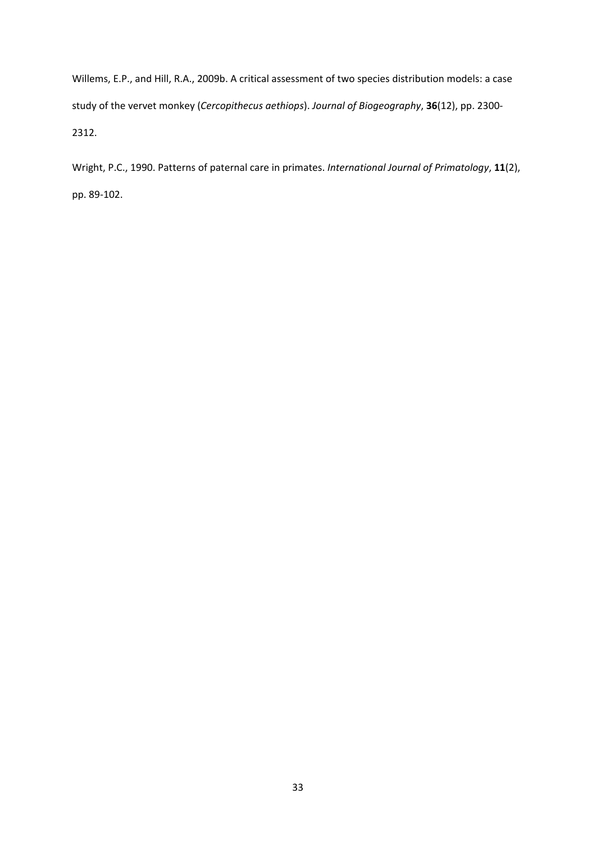Willems, E.P., and Hill, R.A., 2009b. A critical assessment of two species distribution models: a case study of the vervet monkey (*Cercopithecus aethiops*). *Journal of Biogeography*, **36**(12), pp. 2300‐ 2312.

Wright, P.C., 1990. Patterns of paternal care in primates. *International Journal of Primatology*, **11**(2), pp. 89‐102.